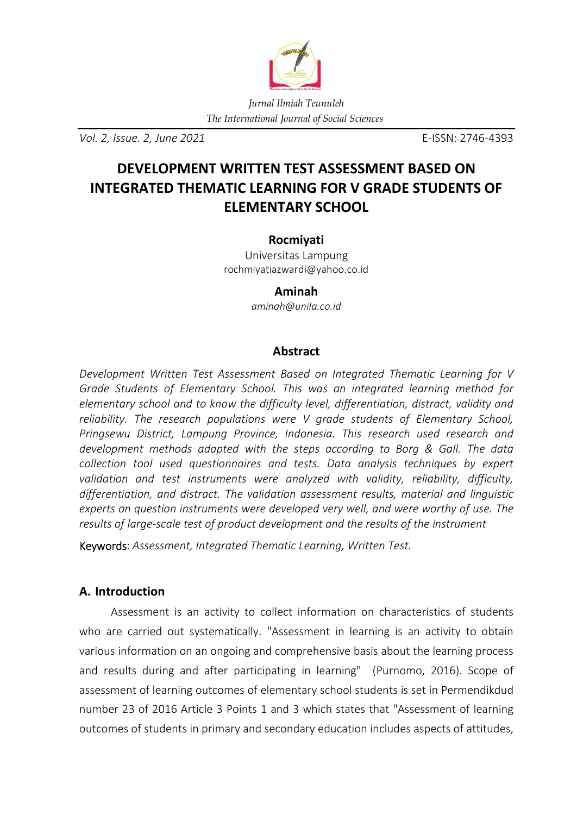

*Vol. 2, Issue. 2, June 2021* E-ISSN: 2746-4393

# **DEVELOPMENT WRITTEN TEST ASSESSMENT BASED ON INTEGRATED THEMATIC LEARNING FOR V GRADE STUDENTS OF ELEMENTARY SCHOOL**

## **Rocmiyati**

Universitas Lampung rochmiyatiazwardi@yahoo.co.id

# **Aminah**

*aminah@unila.co.id* 

# **Abstract**

*Development Written Test Assessment Based on Integrated Thematic Learning for V Grade Students of Elementary School. This was an integrated learning method for elementary school and to know the difficulty level, differentiation, distract, validity and reliability. The research populations were V grade students of Elementary School, Pringsewu District, Lampung Province, Indonesia. This research used research and development methods adapted with the steps according to Borg & Gall. The data collection tool used questionnaires and tests. Data analysis techniques by expert validation and test instruments were analyzed with validity, reliability, difficulty, differentiation, and distract. The validation assessment results, material and linguistic experts on question instruments were developed very well, and were worthy of use. The results of large-scale test of product development and the results of the instrument* 

Keywords: *Assessment, Integrated Thematic Learning, Written Test.*

# **A. Introduction**

Assessment is an activity to collect information on characteristics of students who are carried out systematically. "Assessment in learning is an activity to obtain various information on an ongoing and comprehensive basis about the learning process and results during and after participating in learning" (Purnomo, 2016). Scope of assessment of learning outcomes of elementary school students is set in Permendikdud number 23 of 2016 Article 3 Points 1 and 3 which states that "Assessment of learning outcomes of students in primary and secondary education includes aspects of attitudes,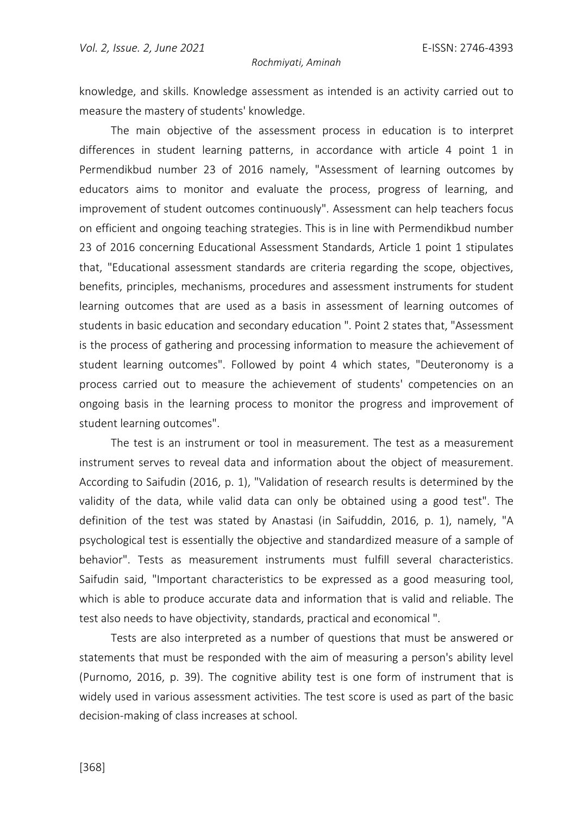knowledge, and skills. Knowledge assessment as intended is an activity carried out to measure the mastery of students' knowledge.

The main objective of the assessment process in education is to interpret differences in student learning patterns, in accordance with article 4 point 1 in Permendikbud number 23 of 2016 namely, "Assessment of learning outcomes by educators aims to monitor and evaluate the process, progress of learning, and improvement of student outcomes continuously". Assessment can help teachers focus on efficient and ongoing teaching strategies. This is in line with Permendikbud number 23 of 2016 concerning Educational Assessment Standards, Article 1 point 1 stipulates that, "Educational assessment standards are criteria regarding the scope, objectives, benefits, principles, mechanisms, procedures and assessment instruments for student learning outcomes that are used as a basis in assessment of learning outcomes of students in basic education and secondary education ". Point 2 states that, "Assessment is the process of gathering and processing information to measure the achievement of student learning outcomes". Followed by point 4 which states, "Deuteronomy is a process carried out to measure the achievement of students' competencies on an ongoing basis in the learning process to monitor the progress and improvement of student learning outcomes".

The test is an instrument or tool in measurement. The test as a measurement instrument serves to reveal data and information about the object of measurement. According to Saifudin (2016, p. 1), "Validation of research results is determined by the validity of the data, while valid data can only be obtained using a good test". The definition of the test was stated by Anastasi (in Saifuddin, 2016, p. 1), namely, "A psychological test is essentially the objective and standardized measure of a sample of behavior". Tests as measurement instruments must fulfill several characteristics. Saifudin said, "Important characteristics to be expressed as a good measuring tool, which is able to produce accurate data and information that is valid and reliable. The test also needs to have objectivity, standards, practical and economical ".

Tests are also interpreted as a number of questions that must be answered or statements that must be responded with the aim of measuring a person's ability level (Purnomo, 2016, p. 39). The cognitive ability test is one form of instrument that is widely used in various assessment activities. The test score is used as part of the basic decision-making of class increases at school.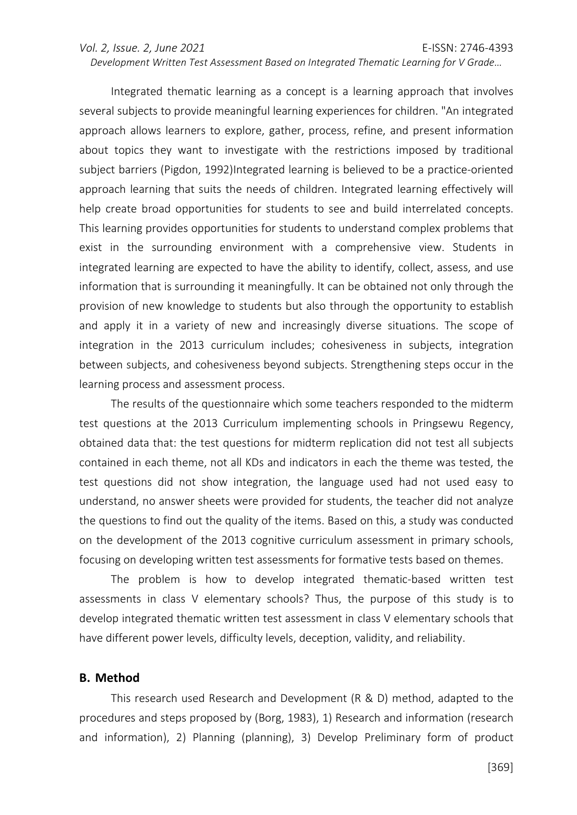#### *Vol. 2, Issue. 2, June 2021* E-ISSN: 2746-4393 *Development Written Test Assessment Based on Integrated Thematic Learning for V Grade…*

Integrated thematic learning as a concept is a learning approach that involves several subjects to provide meaningful learning experiences for children. "An integrated approach allows learners to explore, gather, process, refine, and present information about topics they want to investigate with the restrictions imposed by traditional subject barriers (Pigdon, 1992)Integrated learning is believed to be a practice-oriented approach learning that suits the needs of children. Integrated learning effectively will help create broad opportunities for students to see and build interrelated concepts. This learning provides opportunities for students to understand complex problems that exist in the surrounding environment with a comprehensive view. Students in integrated learning are expected to have the ability to identify, collect, assess, and use information that is surrounding it meaningfully. It can be obtained not only through the provision of new knowledge to students but also through the opportunity to establish and apply it in a variety of new and increasingly diverse situations. The scope of integration in the 2013 curriculum includes; cohesiveness in subjects, integration between subjects, and cohesiveness beyond subjects. Strengthening steps occur in the learning process and assessment process.

The results of the questionnaire which some teachers responded to the midterm test questions at the 2013 Curriculum implementing schools in Pringsewu Regency, obtained data that: the test questions for midterm replication did not test all subjects contained in each theme, not all KDs and indicators in each the theme was tested, the test questions did not show integration, the language used had not used easy to understand, no answer sheets were provided for students, the teacher did not analyze the questions to find out the quality of the items. Based on this, a study was conducted on the development of the 2013 cognitive curriculum assessment in primary schools, focusing on developing written test assessments for formative tests based on themes.

The problem is how to develop integrated thematic-based written test assessments in class V elementary schools? Thus, the purpose of this study is to develop integrated thematic written test assessment in class V elementary schools that have different power levels, difficulty levels, deception, validity, and reliability.

#### **B. Method**

This research used Research and Development (R & D) method, adapted to the procedures and steps proposed by (Borg, 1983), 1) Research and information (research and information), 2) Planning (planning), 3) Develop Preliminary form of product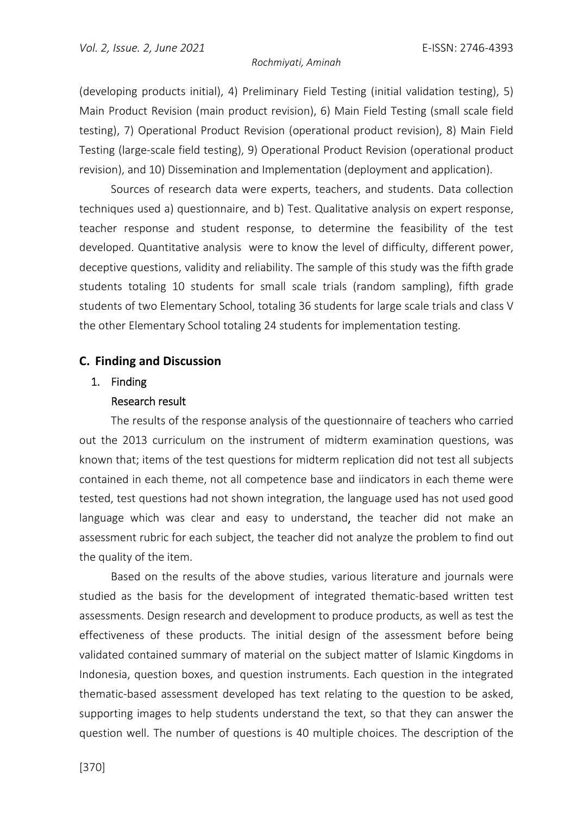(developing products initial), 4) Preliminary Field Testing (initial validation testing), 5) Main Product Revision (main product revision), 6) Main Field Testing (small scale field testing), 7) Operational Product Revision (operational product revision), 8) Main Field Testing (large-scale field testing), 9) Operational Product Revision (operational product revision), and 10) Dissemination and Implementation (deployment and application).

Sources of research data were experts, teachers, and students. Data collection techniques used a) questionnaire, and b) Test. Qualitative analysis on expert response, teacher response and student response, to determine the feasibility of the test developed. Quantitative analysis were to know the level of difficulty, different power, deceptive questions, validity and reliability. The sample of this study was the fifth grade students totaling 10 students for small scale trials (random sampling), fifth grade students of two Elementary School, totaling 36 students for large scale trials and class V the other Elementary School totaling 24 students for implementation testing.

## **C. Finding and Discussion**

# 1. Finding

#### Research result

The results of the response analysis of the questionnaire of teachers who carried out the 2013 curriculum on the instrument of midterm examination questions, was known that; items of the test questions for midterm replication did not test all subjects contained in each theme, not all competence base and iindicators in each theme were tested, test questions had not shown integration, the language used has not used good language which was clear and easy to understand, the teacher did not make an assessment rubric for each subject, the teacher did not analyze the problem to find out the quality of the item.

Based on the results of the above studies, various literature and journals were studied as the basis for the development of integrated thematic-based written test assessments. Design research and development to produce products, as well as test the effectiveness of these products. The initial design of the assessment before being validated contained summary of material on the subject matter of Islamic Kingdoms in Indonesia, question boxes, and question instruments. Each question in the integrated thematic-based assessment developed has text relating to the question to be asked, supporting images to help students understand the text, so that they can answer the question well. The number of questions is 40 multiple choices. The description of the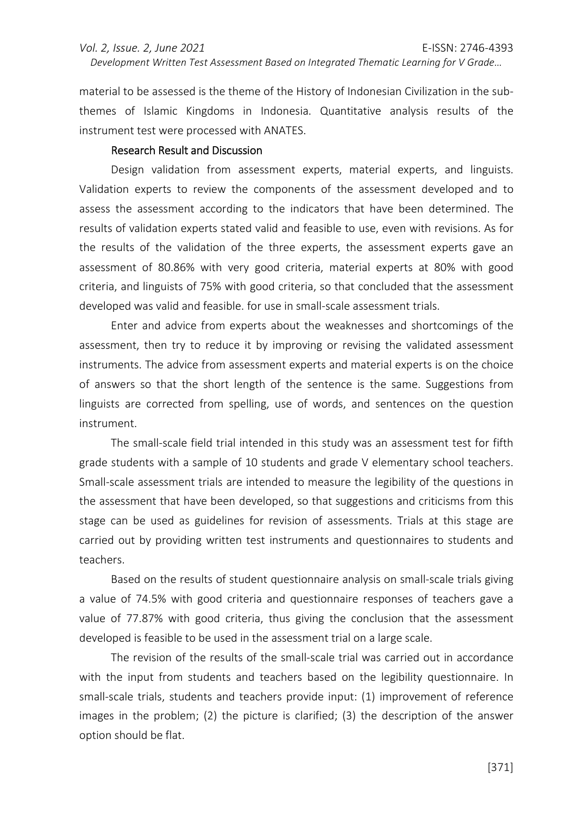material to be assessed is the theme of the History of Indonesian Civilization in the sub-

*Development Written Test Assessment Based on Integrated Thematic Learning for V Grade…* 

themes of Islamic Kingdoms in Indonesia. Quantitative analysis results of the instrument test were processed with ANATES.

#### Research Result and Discussion

Design validation from assessment experts, material experts, and linguists. Validation experts to review the components of the assessment developed and to assess the assessment according to the indicators that have been determined. The results of validation experts stated valid and feasible to use, even with revisions. As for the results of the validation of the three experts, the assessment experts gave an assessment of 80.86% with very good criteria, material experts at 80% with good criteria, and linguists of 75% with good criteria, so that concluded that the assessment developed was valid and feasible. for use in small-scale assessment trials.

Enter and advice from experts about the weaknesses and shortcomings of the assessment, then try to reduce it by improving or revising the validated assessment instruments. The advice from assessment experts and material experts is on the choice of answers so that the short length of the sentence is the same. Suggestions from linguists are corrected from spelling, use of words, and sentences on the question instrument.

The small-scale field trial intended in this study was an assessment test for fifth grade students with a sample of 10 students and grade V elementary school teachers. Small-scale assessment trials are intended to measure the legibility of the questions in the assessment that have been developed, so that suggestions and criticisms from this stage can be used as guidelines for revision of assessments. Trials at this stage are carried out by providing written test instruments and questionnaires to students and teachers.

Based on the results of student questionnaire analysis on small-scale trials giving a value of 74.5% with good criteria and questionnaire responses of teachers gave a value of 77.87% with good criteria, thus giving the conclusion that the assessment developed is feasible to be used in the assessment trial on a large scale.

The revision of the results of the small-scale trial was carried out in accordance with the input from students and teachers based on the legibility questionnaire. In small-scale trials, students and teachers provide input: (1) improvement of reference images in the problem; (2) the picture is clarified; (3) the description of the answer option should be flat.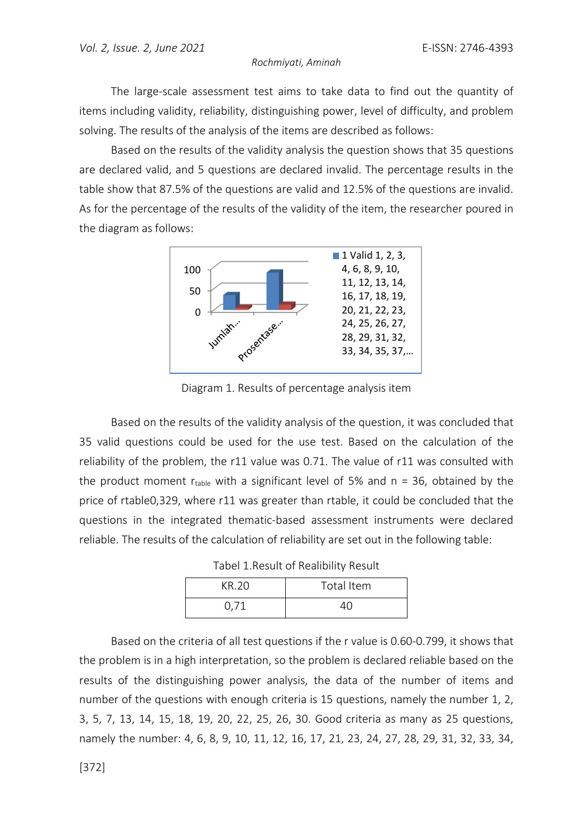The large-scale assessment test aims to take data to find out the quantity of items including validity, reliability, distinguishing power, level of difficulty, and problem solving. The results of the analysis of the items are described as follows:

Based on the results of the validity analysis the question shows that 35 questions are declared valid, and 5 questions are declared invalid. The percentage results in the table show that 87.5% of the questions are valid and 12.5% of the questions are invalid. As for the percentage of the results of the validity of the item, the researcher poured in the diagram as follows:



Diagram 1. Results of percentage analysis item

Based on the results of the validity analysis of the question, it was concluded that 35 valid questions could be used for the use test. Based on the calculation of the reliability of the problem, the r11 value was 0.71. The value of r11 was consulted with the product moment  $r_{table}$  with a significant level of 5% and  $n = 36$ , obtained by the price of rtable0,329, where r11 was greater than rtable, it could be concluded that the questions in the integrated thematic-based assessment instruments were declared reliable. The results of the calculation of reliability are set out in the following table:

Tabel 1.Result of Realibility Result

| KR 20 | Total Item |
|-------|------------|
| 0,71  |            |

Based on the criteria of all test questions if the r value is 0.60-0.799, it shows that the problem is in a high interpretation, so the problem is declared reliable based on the results of the distinguishing power analysis, the data of the number of items and number of the questions with enough criteria is 15 questions, namely the number 1, 2, 3, 5, 7, 13, 14, 15, 18, 19, 20, 22, 25, 26, 30. Good criteria as many as 25 questions, namely the number: 4, 6, 8, 9, 10, 11, 12, 16, 17, 21, 23, 24, 27, 28, 29, 31, 32, 33, 34,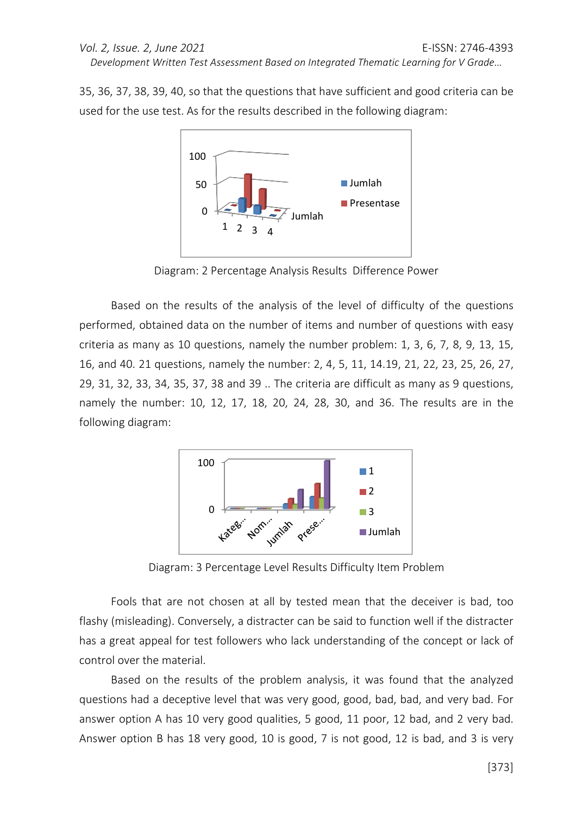35, 36, 37, 38, 39, 40, so that the questions that have sufficient and good criteria can be used for the use test. As for the results described in the following diagram:



Diagram: 2 Percentage Analysis Results Difference Power

Based on the results of the analysis of the level of difficulty of the questions performed, obtained data on the number of items and number of questions with easy criteria as many as 10 questions, namely the number problem: 1, 3, 6, 7, 8, 9, 13, 15, 16, and 40. 21 questions, namely the number: 2, 4, 5, 11, 14.19, 21, 22, 23, 25, 26, 27, 29, 31, 32, 33, 34, 35, 37, 38 and 39 .. The criteria are difficult as many as 9 questions, namely the number: 10, 12, 17, 18, 20, 24, 28, 30, and 36. The results are in the following diagram:



Diagram: 3 Percentage Level Results Difficulty Item Problem

Fools that are not chosen at all by tested mean that the deceiver is bad, too flashy (misleading). Conversely, a distracter can be said to function well if the distracter has a great appeal for test followers who lack understanding of the concept or lack of control over the material.

Based on the results of the problem analysis, it was found that the analyzed questions had a deceptive level that was very good, good, bad, bad, and very bad. For answer option A has 10 very good qualities, 5 good, 11 poor, 12 bad, and 2 very bad. Answer option B has 18 very good, 10 is good, 7 is not good, 12 is bad, and 3 is very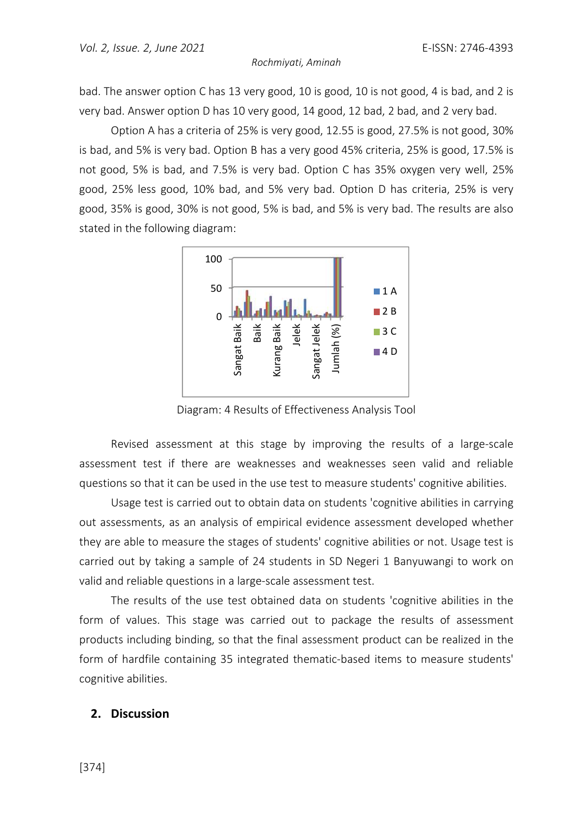bad. The answer option C has 13 very good, 10 is good, 10 is not good, 4 is bad, and 2 is very bad. Answer option D has 10 very good, 14 good, 12 bad, 2 bad, and 2 very bad.

Option A has a criteria of 25% is very good, 12.55 is good, 27.5% is not good, 30% is bad, and 5% is very bad. Option B has a very good 45% criteria, 25% is good, 17.5% is not good, 5% is bad, and 7.5% is very bad. Option C has 35% oxygen very well, 25% good, 25% less good, 10% bad, and 5% very bad. Option D has criteria, 25% is very good, 35% is good, 30% is not good, 5% is bad, and 5% is very bad. The results are also stated in the following diagram:



Diagram: 4 Results of Effectiveness Analysis Tool

Revised assessment at this stage by improving the results of a large-scale assessment test if there are weaknesses and weaknesses seen valid and reliable questions so that it can be used in the use test to measure students' cognitive abilities.

Usage test is carried out to obtain data on students 'cognitive abilities in carrying out assessments, as an analysis of empirical evidence assessment developed whether they are able to measure the stages of students' cognitive abilities or not. Usage test is carried out by taking a sample of 24 students in SD Negeri 1 Banyuwangi to work on valid and reliable questions in a large-scale assessment test.

The results of the use test obtained data on students 'cognitive abilities in the form of values. This stage was carried out to package the results of assessment products including binding, so that the final assessment product can be realized in the form of hardfile containing 35 integrated thematic-based items to measure students' cognitive abilities.

### **2. Discussion**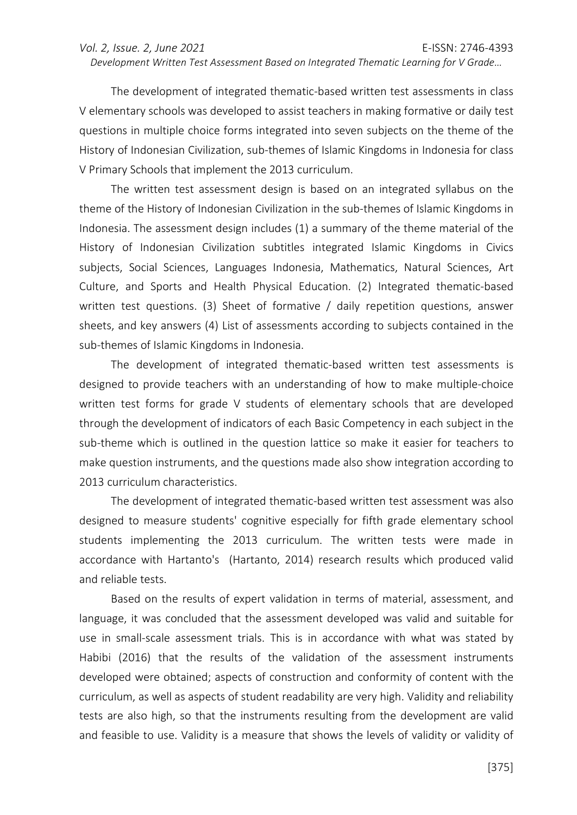The development of integrated thematic-based written test assessments in class V elementary schools was developed to assist teachers in making formative or daily test questions in multiple choice forms integrated into seven subjects on the theme of the History of Indonesian Civilization, sub-themes of Islamic Kingdoms in Indonesia for class V Primary Schools that implement the 2013 curriculum.

The written test assessment design is based on an integrated syllabus on the theme of the History of Indonesian Civilization in the sub-themes of Islamic Kingdoms in Indonesia. The assessment design includes (1) a summary of the theme material of the History of Indonesian Civilization subtitles integrated Islamic Kingdoms in Civics subjects, Social Sciences, Languages Indonesia, Mathematics, Natural Sciences, Art Culture, and Sports and Health Physical Education. (2) Integrated thematic-based written test questions. (3) Sheet of formative / daily repetition questions, answer sheets, and key answers (4) List of assessments according to subjects contained in the sub-themes of Islamic Kingdoms in Indonesia.

The development of integrated thematic-based written test assessments is designed to provide teachers with an understanding of how to make multiple-choice written test forms for grade V students of elementary schools that are developed through the development of indicators of each Basic Competency in each subject in the sub-theme which is outlined in the question lattice so make it easier for teachers to make question instruments, and the questions made also show integration according to 2013 curriculum characteristics.

The development of integrated thematic-based written test assessment was also designed to measure students' cognitive especially for fifth grade elementary school students implementing the 2013 curriculum. The written tests were made in accordance with Hartanto's (Hartanto, 2014) research results which produced valid and reliable tests.

Based on the results of expert validation in terms of material, assessment, and language, it was concluded that the assessment developed was valid and suitable for use in small-scale assessment trials. This is in accordance with what was stated by Habibi (2016) that the results of the validation of the assessment instruments developed were obtained; aspects of construction and conformity of content with the curriculum, as well as aspects of student readability are very high. Validity and reliability tests are also high, so that the instruments resulting from the development are valid and feasible to use. Validity is a measure that shows the levels of validity or validity of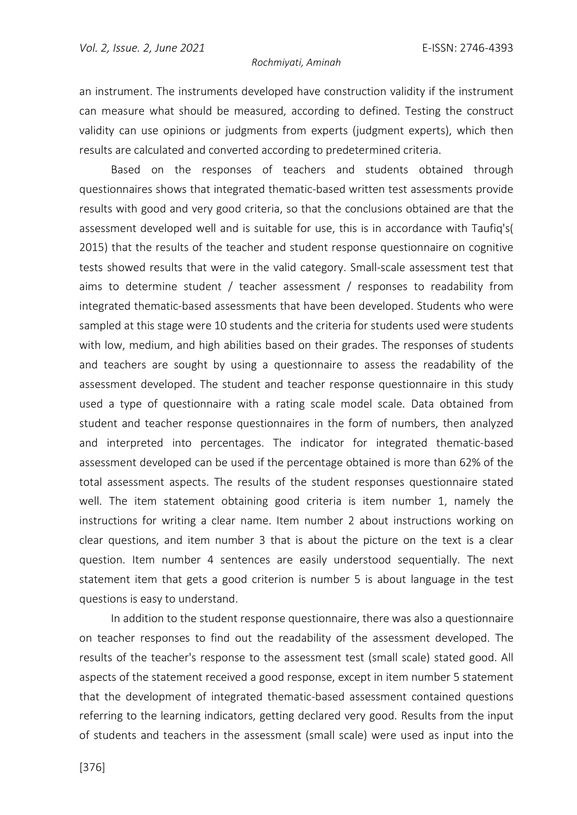an instrument. The instruments developed have construction validity if the instrument can measure what should be measured, according to defined. Testing the construct validity can use opinions or judgments from experts (judgment experts), which then results are calculated and converted according to predetermined criteria.

Based on the responses of teachers and students obtained through questionnaires shows that integrated thematic-based written test assessments provide results with good and very good criteria, so that the conclusions obtained are that the assessment developed well and is suitable for use, this is in accordance with Taufiq's( 2015) that the results of the teacher and student response questionnaire on cognitive tests showed results that were in the valid category. Small-scale assessment test that aims to determine student / teacher assessment / responses to readability from integrated thematic-based assessments that have been developed. Students who were sampled at this stage were 10 students and the criteria for students used were students with low, medium, and high abilities based on their grades. The responses of students and teachers are sought by using a questionnaire to assess the readability of the assessment developed. The student and teacher response questionnaire in this study used a type of questionnaire with a rating scale model scale. Data obtained from student and teacher response questionnaires in the form of numbers, then analyzed and interpreted into percentages. The indicator for integrated thematic-based assessment developed can be used if the percentage obtained is more than 62% of the total assessment aspects. The results of the student responses questionnaire stated well. The item statement obtaining good criteria is item number 1, namely the instructions for writing a clear name. Item number 2 about instructions working on clear questions, and item number 3 that is about the picture on the text is a clear question. Item number 4 sentences are easily understood sequentially. The next statement item that gets a good criterion is number 5 is about language in the test questions is easy to understand.

In addition to the student response questionnaire, there was also a questionnaire on teacher responses to find out the readability of the assessment developed. The results of the teacher's response to the assessment test (small scale) stated good. All aspects of the statement received a good response, except in item number 5 statement that the development of integrated thematic-based assessment contained questions referring to the learning indicators, getting declared very good. Results from the input of students and teachers in the assessment (small scale) were used as input into the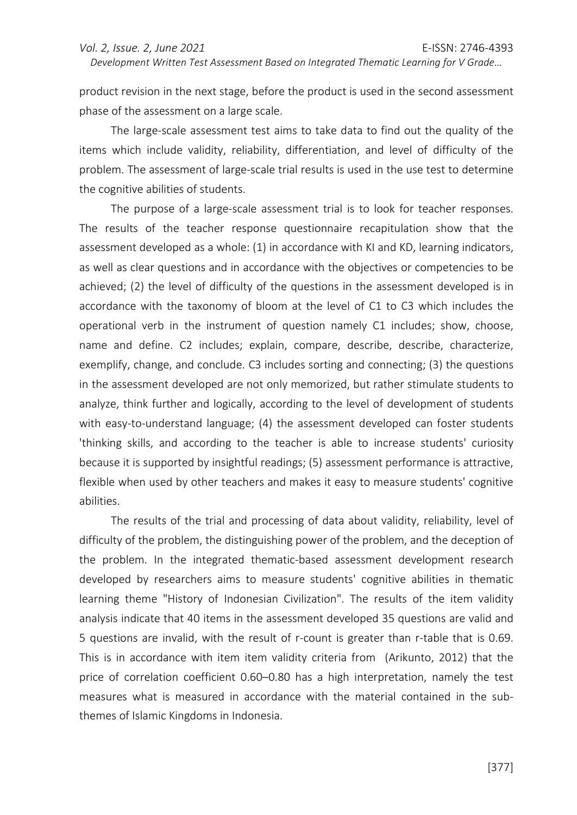product revision in the next stage, before the product is used in the second assessment phase of the assessment on a large scale.

The large-scale assessment test aims to take data to find out the quality of the items which include validity, reliability, differentiation, and level of difficulty of the problem. The assessment of large-scale trial results is used in the use test to determine the cognitive abilities of students.

The purpose of a large-scale assessment trial is to look for teacher responses. The results of the teacher response questionnaire recapitulation show that the assessment developed as a whole: (1) in accordance with KI and KD, learning indicators, as well as clear questions and in accordance with the objectives or competencies to be achieved; (2) the level of difficulty of the questions in the assessment developed is in accordance with the taxonomy of bloom at the level of C1 to C3 which includes the operational verb in the instrument of question namely C1 includes; show, choose, name and define. C2 includes; explain, compare, describe, describe, characterize, exemplify, change, and conclude. C3 includes sorting and connecting; (3) the questions in the assessment developed are not only memorized, but rather stimulate students to analyze, think further and logically, according to the level of development of students with easy-to-understand language; (4) the assessment developed can foster students 'thinking skills, and according to the teacher is able to increase students' curiosity because it is supported by insightful readings; (5) assessment performance is attractive, flexible when used by other teachers and makes it easy to measure students' cognitive abilities.

The results of the trial and processing of data about validity, reliability, level of difficulty of the problem, the distinguishing power of the problem, and the deception of the problem. In the integrated thematic-based assessment development research developed by researchers aims to measure students' cognitive abilities in thematic learning theme "History of Indonesian Civilization". The results of the item validity analysis indicate that 40 items in the assessment developed 35 questions are valid and 5 questions are invalid, with the result of r-count is greater than r-table that is 0.69. This is in accordance with item item validity criteria from (Arikunto, 2012) that the price of correlation coefficient 0.60–0.80 has a high interpretation, namely the test measures what is measured in accordance with the material contained in the subthemes of Islamic Kingdoms in Indonesia.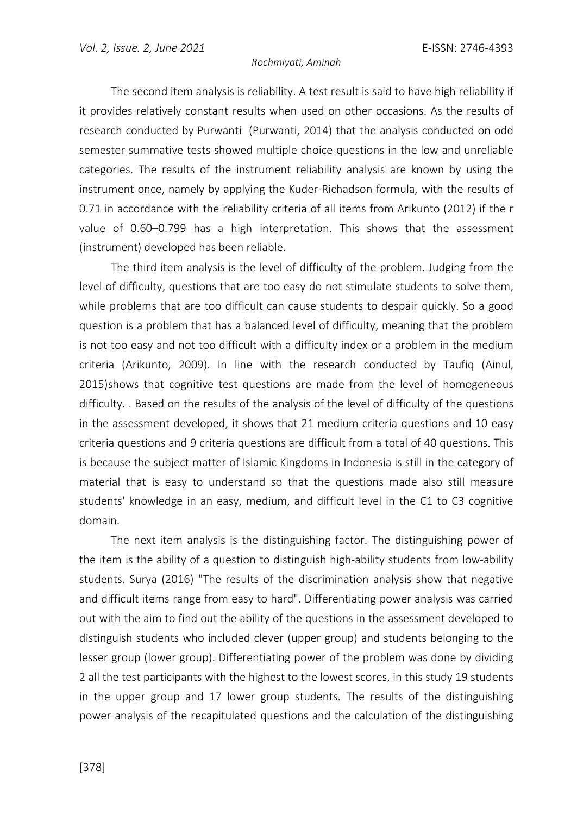The second item analysis is reliability. A test result is said to have high reliability if it provides relatively constant results when used on other occasions. As the results of research conducted by Purwanti (Purwanti, 2014) that the analysis conducted on odd semester summative tests showed multiple choice questions in the low and unreliable categories. The results of the instrument reliability analysis are known by using the instrument once, namely by applying the Kuder-Richadson formula, with the results of 0.71 in accordance with the reliability criteria of all items from Arikunto (2012) if the r value of 0.60–0.799 has a high interpretation. This shows that the assessment (instrument) developed has been reliable.

The third item analysis is the level of difficulty of the problem. Judging from the level of difficulty, questions that are too easy do not stimulate students to solve them, while problems that are too difficult can cause students to despair quickly. So a good question is a problem that has a balanced level of difficulty, meaning that the problem is not too easy and not too difficult with a difficulty index or a problem in the medium criteria (Arikunto, 2009). In line with the research conducted by Taufiq (Ainul, 2015)shows that cognitive test questions are made from the level of homogeneous difficulty. . Based on the results of the analysis of the level of difficulty of the questions in the assessment developed, it shows that 21 medium criteria questions and 10 easy criteria questions and 9 criteria questions are difficult from a total of 40 questions. This is because the subject matter of Islamic Kingdoms in Indonesia is still in the category of material that is easy to understand so that the questions made also still measure students' knowledge in an easy, medium, and difficult level in the C1 to C3 cognitive domain.

The next item analysis is the distinguishing factor. The distinguishing power of the item is the ability of a question to distinguish high-ability students from low-ability students. Surya (2016) "The results of the discrimination analysis show that negative and difficult items range from easy to hard". Differentiating power analysis was carried out with the aim to find out the ability of the questions in the assessment developed to distinguish students who included clever (upper group) and students belonging to the lesser group (lower group). Differentiating power of the problem was done by dividing 2 all the test participants with the highest to the lowest scores, in this study 19 students in the upper group and 17 lower group students. The results of the distinguishing power analysis of the recapitulated questions and the calculation of the distinguishing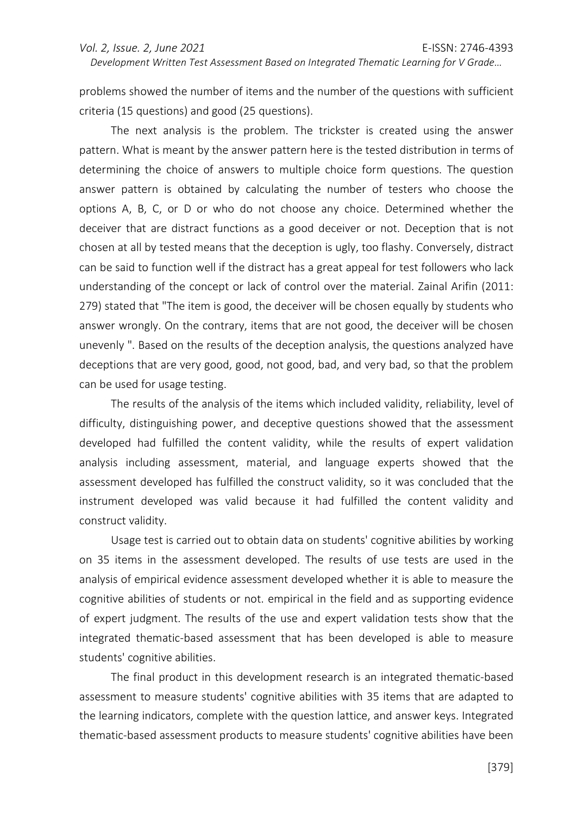problems showed the number of items and the number of the questions with sufficient criteria (15 questions) and good (25 questions).

The next analysis is the problem. The trickster is created using the answer pattern. What is meant by the answer pattern here is the tested distribution in terms of determining the choice of answers to multiple choice form questions. The question answer pattern is obtained by calculating the number of testers who choose the options A, B, C, or D or who do not choose any choice. Determined whether the deceiver that are distract functions as a good deceiver or not. Deception that is not chosen at all by tested means that the deception is ugly, too flashy. Conversely, distract can be said to function well if the distract has a great appeal for test followers who lack understanding of the concept or lack of control over the material. Zainal Arifin (2011: 279) stated that "The item is good, the deceiver will be chosen equally by students who answer wrongly. On the contrary, items that are not good, the deceiver will be chosen unevenly ". Based on the results of the deception analysis, the questions analyzed have deceptions that are very good, good, not good, bad, and very bad, so that the problem can be used for usage testing.

The results of the analysis of the items which included validity, reliability, level of difficulty, distinguishing power, and deceptive questions showed that the assessment developed had fulfilled the content validity, while the results of expert validation analysis including assessment, material, and language experts showed that the assessment developed has fulfilled the construct validity, so it was concluded that the instrument developed was valid because it had fulfilled the content validity and construct validity.

Usage test is carried out to obtain data on students' cognitive abilities by working on 35 items in the assessment developed. The results of use tests are used in the analysis of empirical evidence assessment developed whether it is able to measure the cognitive abilities of students or not. empirical in the field and as supporting evidence of expert judgment. The results of the use and expert validation tests show that the integrated thematic-based assessment that has been developed is able to measure students' cognitive abilities.

The final product in this development research is an integrated thematic-based assessment to measure students' cognitive abilities with 35 items that are adapted to the learning indicators, complete with the question lattice, and answer keys. Integrated thematic-based assessment products to measure students' cognitive abilities have been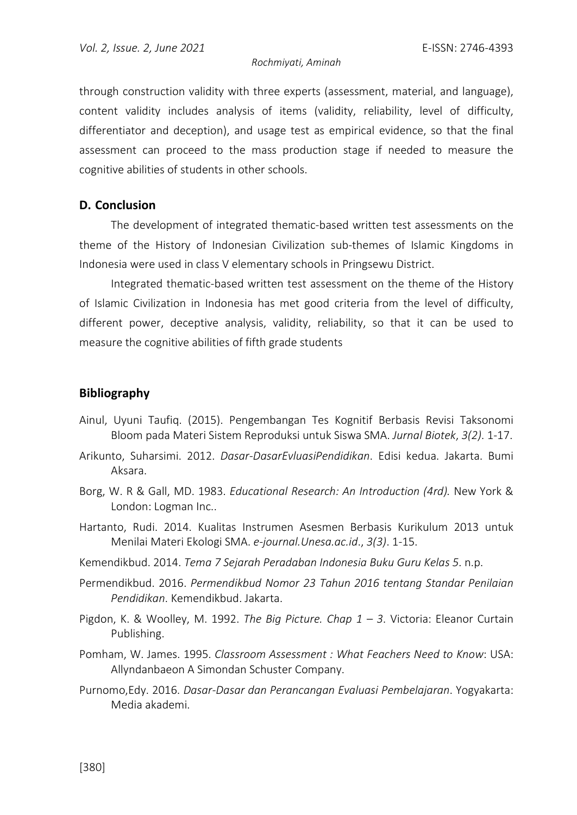through construction validity with three experts (assessment, material, and language), content validity includes analysis of items (validity, reliability, level of difficulty, differentiator and deception), and usage test as empirical evidence, so that the final assessment can proceed to the mass production stage if needed to measure the cognitive abilities of students in other schools.

### **D. Conclusion**

The development of integrated thematic-based written test assessments on the theme of the History of Indonesian Civilization sub-themes of Islamic Kingdoms in Indonesia were used in class V elementary schools in Pringsewu District.

Integrated thematic-based written test assessment on the theme of the History of Islamic Civilization in Indonesia has met good criteria from the level of difficulty, different power, deceptive analysis, validity, reliability, so that it can be used to measure the cognitive abilities of fifth grade students

### **Bibliography**

- Ainul, Uyuni Taufiq. (2015). Pengembangan Tes Kognitif Berbasis Revisi Taksonomi Bloom pada Materi Sistem Reproduksi untuk Siswa SMA. *Jurnal Biotek*, *3(2)*. 1-17.
- Arikunto, Suharsimi. 2012. *Dasar-DasarEvluasiPendidikan*. Edisi kedua. Jakarta. Bumi Aksara.
- Borg, W. R & Gall, MD. 1983. *Educational Research: An Introduction (4rd).* New York & London: Logman Inc..
- Hartanto, Rudi. 2014. Kualitas Instrumen Asesmen Berbasis Kurikulum 2013 untuk Menilai Materi Ekologi SMA. *e-journal.Unesa.ac.id*., *3(3)*. 1-15.
- Kemendikbud. 2014. *Tema 7 Sejarah Peradaban Indonesia Buku Guru Kelas 5*. n.p.
- Permendikbud. 2016. *Permendikbud Nomor 23 Tahun 2016 tentang Standar Penilaian Pendidikan*. Kemendikbud. Jakarta.
- Pigdon, K. & Woolley, M. 1992. *The Big Picture. Chap 1 3*. Victoria: Eleanor Curtain Publishing.
- Pomham, W. James. 1995. *Classroom Assessment : What Feachers Need to Know*: USA: Allyndanbaeon A Simondan Schuster Company.
- Purnomo,Edy. 2016. *Dasar-Dasar dan Perancangan Evaluasi Pembelajaran*. Yogyakarta: Media akademi.